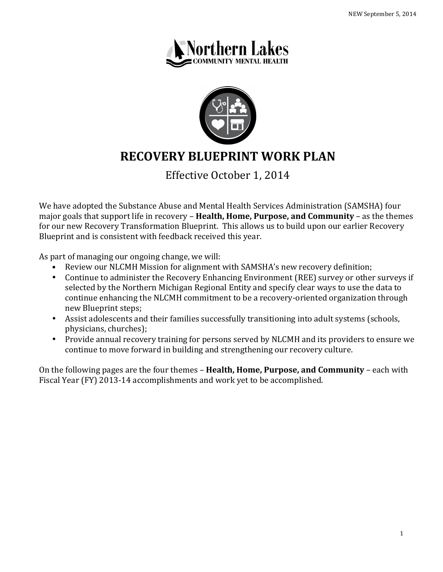



# **RECOVERY BLUEPRINT WORK PLAN**

Effective October 1, 2014

We have adopted the Substance Abuse and Mental Health Services Administration (SAMSHA) four major goals that support life in recovery – **Health, Home, Purpose, and Community** – as the themes for our new Recovery Transformation Blueprint. This allows us to build upon our earlier Recovery Blueprint and is consistent with feedback received this year.

As part of managing our ongoing change, we will:

- Review our NLCMH Mission for alignment with SAMSHA's new recovery definition;
- Continue to administer the Recovery Enhancing Environment (REE) survey or other surveys if selected by the Northern Michigan Regional Entity and specify clear ways to use the data to continue enhancing the NLCMH commitment to be a recovery-oriented organization through new Blueprint steps;
- Assist adolescents and their families successfully transitioning into adult systems (schools, physicians, churches);
- Provide annual recovery training for persons served by NLCMH and its providers to ensure we continue to move forward in building and strengthening our recovery culture.

On the following pages are the four themes – **Health, Home, Purpose, and Community** – each with Fiscal Year (FY) 2013-14 accomplishments and work yet to be accomplished.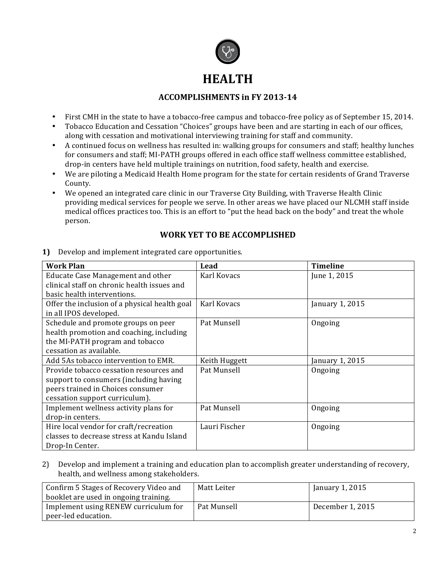

# **HEALTH**

## **ACCOMPLISHMENTS** in FY 2013-14

- First CMH in the state to have a tobacco-free campus and tobacco-free policy as of September 15, 2014.
- Tobacco Education and Cessation "Choices" groups have been and are starting in each of our offices, along with cessation and motivational interviewing training for staff and community.
- A continued focus on wellness has resulted in: walking groups for consumers and staff; healthy lunches for consumers and staff; MI-PATH groups offered in each office staff wellness committee established, drop-in centers have held multiple trainings on nutrition, food safety, health and exercise.
- We are piloting a Medicaid Health Home program for the state for certain residents of Grand Traverse County.
- We opened an integrated care clinic in our Traverse City Building, with Traverse Health Clinic providing medical services for people we serve. In other areas we have placed our NLCMH staff inside medical offices practices too. This is an effort to "put the head back on the body" and treat the whole person.

### WORK YET TO BE ACCOMPLISHED

| <b>Work Plan</b>                              | Lead          | <b>Timeline</b> |
|-----------------------------------------------|---------------|-----------------|
| Educate Case Management and other             | Karl Kovacs   | June 1, 2015    |
| clinical staff on chronic health issues and   |               |                 |
| basic health interventions.                   |               |                 |
| Offer the inclusion of a physical health goal | Karl Kovacs   | January 1, 2015 |
| in all IPOS developed.                        |               |                 |
| Schedule and promote groups on peer           | Pat Munsell   | Ongoing         |
| health promotion and coaching, including      |               |                 |
| the MI-PATH program and tobacco               |               |                 |
| cessation as available.                       |               |                 |
| Add 5As tobacco intervention to EMR.          | Keith Huggett | January 1, 2015 |
| Provide tobacco cessation resources and       | Pat Munsell   | Ongoing         |
| support to consumers (including having        |               |                 |
| peers trained in Choices consumer             |               |                 |
| cessation support curriculum).                |               |                 |
| Implement wellness activity plans for         | Pat Munsell   | Ongoing         |
| drop-in centers.                              |               |                 |
| Hire local vendor for craft/recreation        | Lauri Fischer | Ongoing         |
| classes to decrease stress at Kandu Island    |               |                 |
| Drop-In Center.                               |               |                 |

**1)** Develop and implement integrated care opportunities.

2) Develop and implement a training and education plan to accomplish greater understanding of recovery, health, and wellness among stakeholders.

| Confirm 5 Stages of Recovery Video and | Matt Leiter | January 1, 2015  |
|----------------------------------------|-------------|------------------|
| booklet are used in ongoing training.  |             |                  |
| Implement using RENEW curriculum for   | Pat Munsell | December 1, 2015 |
| peer-led education.                    |             |                  |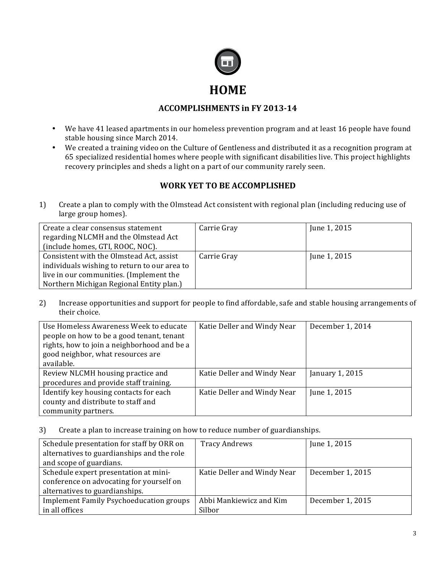

#### **ACCOMPLISHMENTS** in FY 2013-14

- We have 41 leased apartments in our homeless prevention program and at least 16 people have found stable housing since March 2014.
- We created a training video on the Culture of Gentleness and distributed it as a recognition program at 65 specialized residential homes where people with significant disabilities live. This project highlights recovery principles and sheds a light on a part of our community rarely seen.

# WORK YET TO BE ACCOMPLISHED

1) Create a plan to comply with the Olmstead Act consistent with regional plan (including reducing use of large group homes).

| Create a clear consensus statement<br>regarding NLCMH and the Olmstead Act<br>(include homes, GTI, ROOC, NOC).                      | Carrie Gray | June 1, 2015 |
|-------------------------------------------------------------------------------------------------------------------------------------|-------------|--------------|
| Consistent with the Olmstead Act, assist<br>individuals wishing to return to our area to<br>live in our communities. (Implement the | Carrie Gray | June 1, 2015 |
| Northern Michigan Regional Entity plan.)                                                                                            |             |              |

2) Increase opportunities and support for people to find affordable, safe and stable housing arrangements of their choice.

| Use Homeless Awareness Week to educate<br>people on how to be a good tenant, tenant<br>rights, how to join a neighborhood and be a<br>good neighbor, what resources are<br>available. | Katie Deller and Windy Near | December 1, 2014 |
|---------------------------------------------------------------------------------------------------------------------------------------------------------------------------------------|-----------------------------|------------------|
| Review NLCMH housing practice and<br>procedures and provide staff training.                                                                                                           | Katie Deller and Windy Near | January 1, 2015  |
| Identify key housing contacts for each<br>county and distribute to staff and<br>community partners.                                                                                   | Katie Deller and Windy Near | June 1, 2015     |

3) Create a plan to increase training on how to reduce number of guardianships.

| Schedule presentation for staff by ORR on      | <b>Tracy Andrews</b>        | June 1, 2015     |
|------------------------------------------------|-----------------------------|------------------|
| alternatives to guardianships and the role     |                             |                  |
| and scope of guardians.                        |                             |                  |
| Schedule expert presentation at mini-          | Katie Deller and Windy Near | December 1, 2015 |
| conference on advocating for yourself on       |                             |                  |
| alternatives to guardianships.                 |                             |                  |
| <b>Implement Family Psychoeducation groups</b> | Abbi Mankiewicz and Kim     | December 1, 2015 |
| in all offices                                 | Silbor                      |                  |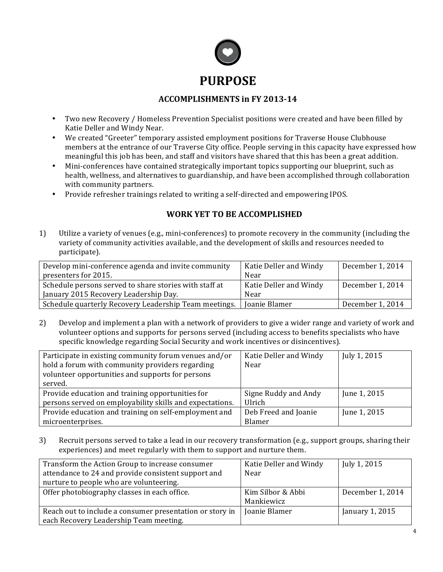

#### **ACCOMPLISHMENTS in FY 2013-14**

- Two new Recovery / Homeless Prevention Specialist positions were created and have been filled by Katie Deller and Windy Near.
- We created "Greeter" temporary assisted employment positions for Traverse House Clubhouse members at the entrance of our Traverse City office. People serving in this capacity have expressed how meaningful this job has been, and staff and visitors have shared that this has been a great addition.
- Mini-conferences have contained strategically important topics supporting our blueprint, such as health, wellness, and alternatives to guardianship, and have been accomplished through collaboration with community partners.
- Provide refresher trainings related to writing a self-directed and empowering IPOS.

#### WORK YET TO BE ACCOMPLISHED

1) Utilize a variety of venues (e.g., mini-conferences) to promote recovery in the community (including the variety of community activities available, and the development of skills and resources needed to participate).

| Develop mini-conference agenda and invite community    | Katie Deller and Windy | December 1, 2014 |
|--------------------------------------------------------|------------------------|------------------|
| presenters for 2015.                                   | Near                   |                  |
| Schedule persons served to share stories with staff at | Katie Deller and Windy | December 1, 2014 |
| January 2015 Recovery Leadership Day.                  | Near                   |                  |
| Schedule quarterly Recovery Leadership Team meetings.  | Joanie Blamer          | December 1, 2014 |

2) Develop and implement a plan with a network of providers to give a wider range and variety of work and volunteer options and supports for persons served (including access to benefits specialists who have specific knowledge regarding Social Security and work incentives or disincentives).

| Participate in existing community forum venues and/or<br>hold a forum with community providers regarding<br>volunteer opportunities and supports for persons<br>served. | Katie Deller and Windy<br>Near | July 1, 2015 |
|-------------------------------------------------------------------------------------------------------------------------------------------------------------------------|--------------------------------|--------------|
| Provide education and training opportunities for                                                                                                                        | Signe Ruddy and Andy           | June 1, 2015 |
| persons served on employability skills and expectations.                                                                                                                | Ulrich                         |              |
| Provide education and training on self-employment and                                                                                                                   | Deb Freed and Joanie           | June 1, 2015 |
| microenterprises.                                                                                                                                                       | Blamer                         |              |

3) Recruit persons served to take a lead in our recovery transformation (e.g., support groups, sharing their experiences) and meet regularly with them to support and nurture them.

| Transform the Action Group to increase consumer          | Katie Deller and Windy | July 1, 2015     |
|----------------------------------------------------------|------------------------|------------------|
| attendance to 24 and provide consistent support and      | Near                   |                  |
| nurture to people who are volunteering.                  |                        |                  |
| Offer photobiography classes in each office.             | Kim Silbor & Abbi      | December 1, 2014 |
|                                                          | Mankiewicz             |                  |
| Reach out to include a consumer presentation or story in | Joanie Blamer          | January 1, 2015  |
| each Recovery Leadership Team meeting.                   |                        |                  |